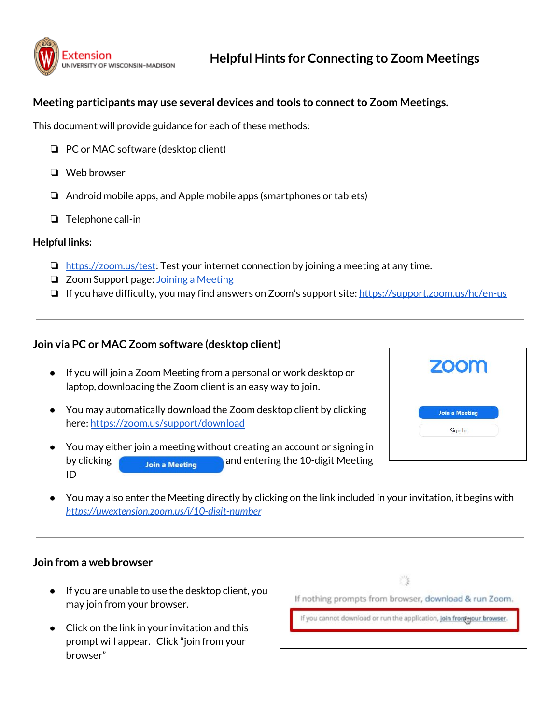

# **Meeting participants may use several devices and tools to connectto Zoom Meetings.**

This document will provide guidance for each of these methods:

- ❏ PC or MAC software (desktop client)
- ❏ Web browser
- ❏ Android mobile apps, and Apple mobile apps (smartphones or tablets)
- ❏ Telephone call-in

#### **Helpful links:**

- $\Box$  <https://zoom.us/test>: Test your internet connection by joining a meeting at any time.
- ❏ Zoom Support page: Joining a [Meeting](https://support.zoom.us/hc/en-us/articles/201362193-Joining-a-Meeting)
- ❏ If you have difficulty, you may find answers on Zoom's support site: <https://support.zoom.us/hc/en-us>

## **Join via PC or MAC Zoom software (desktop client)**

- If you will join a Zoom Meeting from a personal or work desktop or laptop, downloading the Zoom client is an easy way to join.
- You may automatically download the Zoom desktop client by clicking here: <https://zoom.us/support/download>
- You may either join a meeting without creating an account or signing in by clicking **and Election** and entering the 10-digit Meeting ID

| zoom                  |  |
|-----------------------|--|
| <b>Join a Meeting</b> |  |
| Sign In               |  |
|                       |  |

You may also enter the Meeting directly by clicking on the link included in your invitation, it begins with *<https://uwextension.zoom.us/j/10-digit-number>*

## **Join from a web browser**

- If you are unable to use the desktop client, you may join from your browser.
- Click on the link in your invitation and this prompt will appear. Click "join from your browser"